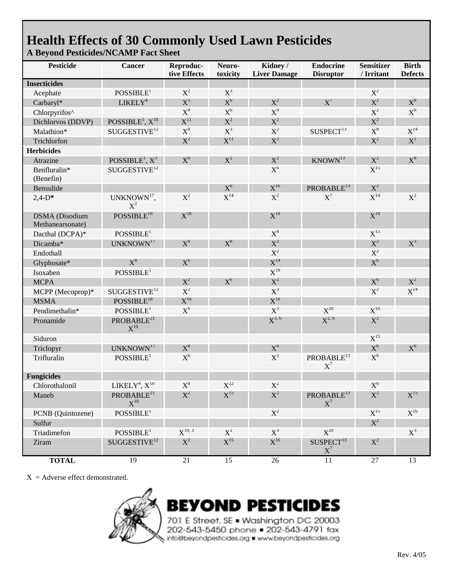## **Health Effects of 30 Commonly Used Lawn Pesticides A Beyond Pesticides/NCAMP Fact Sheet**

| <b>Pesticide</b>                          | Cancer                                                   | Reproduc-<br>tive Effects      | Neuro-<br>toxicity             | Kidney /<br><b>Liver Damage</b> | <b>Endocrine</b><br><b>Disruptor</b> | <b>Sensitizer</b><br>/ Irritant | <b>Birth</b><br><b>Defects</b> |
|-------------------------------------------|----------------------------------------------------------|--------------------------------|--------------------------------|---------------------------------|--------------------------------------|---------------------------------|--------------------------------|
| <b>Insecticides</b>                       |                                                          |                                |                                |                                 |                                      |                                 |                                |
| Acephate                                  | POSSIBLE <sup>1</sup>                                    | $X^2$                          | $X^3$                          |                                 |                                      | $X^2$                           |                                |
| Carbaryl*                                 | LIKELY <sup>4</sup>                                      | $X^5$                          | $X^6$                          | $X^2$                           | $X^7$                                | $X^2$                           | $X^8$                          |
| Chlorpyrifos^                             |                                                          | $\text{X}^8$                   | $\mathrm{X}^6$                 | $X^9$                           |                                      | $X^2$                           | $\mathrm{X}^8$                 |
| Dichlorvos (DDVP)                         | POSSIBLE <sup>1</sup> , $X$ <sup>10</sup>                | $\boldsymbol{\mathrm{X}}^{11}$ | $X^2$                          | $X^2$                           |                                      | $X^2$                           |                                |
| Malathion*                                | SUGGESTIVE <sup>12</sup>                                 | $X^8$                          | $X^3$                          | $X^2$                           | SUSPECT <sup>13</sup>                | $X^8$                           | $X^{14}$                       |
| Trichlorfon                               |                                                          | $X^2$                          | $\boldsymbol{\mathrm{X}}^{11}$ | $X^2$                           |                                      | $X^2$                           | $\rm\,X^2$                     |
| <b>Herbicides</b>                         |                                                          |                                |                                |                                 |                                      |                                 |                                |
| Atrazine                                  | POSSIBLE <sup>1</sup> , $X^3$                            | $X^6$                          | $X^2$                          | $X^2$                           | KNOWN <sup>13</sup>                  | $X^2$                           | $X^8$                          |
| Benfluralin*<br>(Benefin)                 | SUGGESTIVE <sup>12</sup>                                 |                                |                                | $X^6$                           |                                      | $X^{15}$                        |                                |
| Bensulide                                 |                                                          |                                | $X^6$                          | $\rm X^{16}$                    | PROBABLE <sup>13</sup>               | $X^2$                           |                                |
| $2,4-D*$                                  | UNKNOWN <sup>17</sup> ,<br>$X^2$                         | $X^2$                          | $X^{14}$                       | $X^2$                           | $X^7$                                | $X^{14}$                        | $X^2$                          |
| <b>DSMA</b> (Disodium<br>Methanearsonate) | POSSIBLE <sup>18</sup>                                   | $X^{18}$                       |                                | $X^{18}$                        |                                      | $X^{18}$                        |                                |
| Dacthal (DCPA)*                           | POSSIBLE <sup>1</sup>                                    |                                |                                | $X^8$                           |                                      | $X^{15}$                        |                                |
| Dicamba*                                  | UNKNOWN <sup>17</sup>                                    | $X^8$                          | $X^8$                          | $X^2$                           |                                      | $X^2$                           | $X^3$                          |
| Endothall                                 |                                                          |                                |                                | $X^2$                           |                                      | $X^2$                           |                                |
| Glyphosate*                               | $X^8$                                                    | $X^6$                          |                                | $X^{14}$                        |                                      | $X^6$                           |                                |
| Isoxaben                                  | POSSIBLE <sup>1</sup>                                    |                                |                                | $X^{19}$                        |                                      |                                 |                                |
| <b>MCPA</b>                               |                                                          | $X^2$                          | $X^6$                          | $X^2$                           |                                      | $X^6$                           | $X^2$                          |
| MCPP (Mecoprop)*                          | SUGGESTIVE <sup>12</sup>                                 | $X^2$                          |                                | $X^3$                           |                                      | $X^2$                           | $X^{14}$                       |
| <b>MSMA</b>                               | POSSIBLE <sup>18</sup>                                   | $X^{18}$                       |                                | $X^{18}$                        |                                      |                                 |                                |
| Pendimethalin*                            | POSSIBLE <sup>1</sup>                                    | $X^6$                          |                                | $\mathbf{X}^3$                  | $X^{20}$                             | $\mathrm{X}^{16}$               |                                |
| Pronamide                                 | PROBABLE <sup>21</sup><br>$\mathrm{X}^{10}$              |                                |                                | $X^{3, 6}$                      | $X^{2, 6}$                           | $X^2$                           |                                |
| Siduron                                   |                                                          |                                |                                |                                 |                                      | $X^{15}$                        |                                |
| Triclopyr                                 | UNKNOWN <sup>17</sup>                                    | $X^8$                          |                                | $X^6$                           |                                      | $X^6$                           | $X^8$                          |
| Trifluralin                               | POSSIBLE <sup>1</sup>                                    | $\mathrm{X}^6$                 |                                | $X^2$                           | PROBABLE <sup>13</sup><br>$X^7$      | $X^6$                           |                                |
| <b>Fungicides</b>                         |                                                          |                                |                                |                                 |                                      |                                 |                                |
| Chlorothalonil                            | LIKELY <sup>4</sup> , X <sup>10</sup>                    | $X^8$                          | $X^{22}$                       | $X^2$                           |                                      | $X^6$                           |                                |
| Maneb                                     | PROBABLE <sup>21</sup><br>$\boldsymbol{\mathrm{X}}^{10}$ | $X^2$                          | $X^{15}$                       | $X^2$                           | PROBABLE <sup>13</sup><br>$X^7$      | $X^2$                           | $X^{15}$                       |
| PCNB (Quintozene)                         | POSSIBLE <sup>1</sup>                                    |                                |                                | $X^2$                           |                                      | $\mathrm{X}^{15}$               | $X^{16}$                       |
| Sulfur                                    |                                                          |                                |                                |                                 |                                      | $X^2$                           |                                |
| Triadimefon                               | $POSIBLE^1$                                              | $X^{10, 3}$                    | $X^2$                          | $X^3$                           | $X^{20}$                             |                                 | $X^3$                          |
| Ziram                                     | SUGGESTIVE <sup>12</sup>                                 | $X^2$                          | $X^{15}$                       | $\rm X^{16}$                    | SUSPECT <sup>13</sup><br>$X^7$       | $X^2$                           |                                |
| <b>TOTAL</b>                              | 19                                                       | $\overline{21}$                | $\overline{15}$                | 26                              | $\overline{11}$                      | $27\,$                          | 13                             |

 $X =$  Adverse effect demonstrated.



**BEYOND PESTICIDES** 

701 E Street, SE . Washington DC 20003 202-543-5450 phone 202-543-4791 fax info@beyondpesticides.org . www.beyondpesticides.org